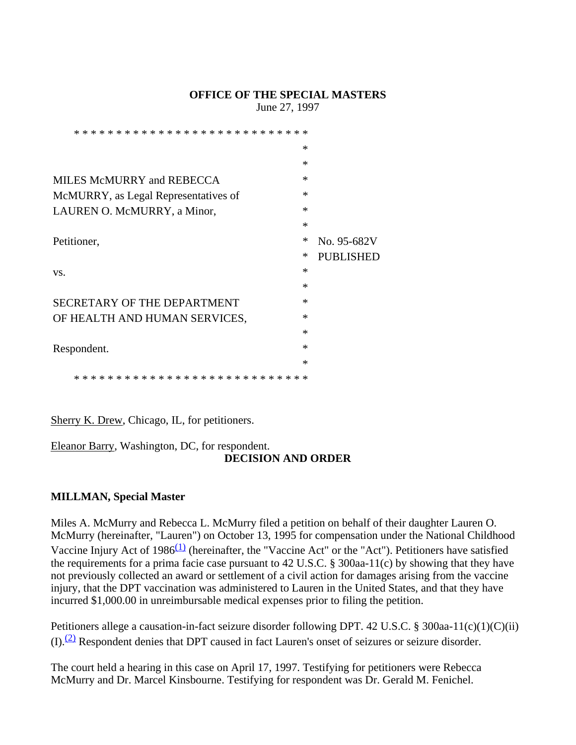#### **OFFICE OF THE SPECIAL MASTERS**

June 27, 1997

| * * * * * * * * * * * * * * * * * * *<br>* * |        |                  |
|----------------------------------------------|--------|------------------|
|                                              | $\ast$ |                  |
|                                              | $\ast$ |                  |
| MILES McMURRY and REBECCA                    | $\ast$ |                  |
| McMURRY, as Legal Representatives of         | $\ast$ |                  |
| LAUREN O. McMURRY, a Minor,                  | $\ast$ |                  |
|                                              | $\ast$ |                  |
| Petitioner,                                  | $\ast$ | No. 95-682V      |
|                                              | ∗      | <b>PUBLISHED</b> |
| VS.                                          | ∗      |                  |
|                                              | $\ast$ |                  |
| SECRETARY OF THE DEPARTMENT                  | $\ast$ |                  |
| OF HEALTH AND HUMAN SERVICES,                | $\ast$ |                  |
|                                              | $\ast$ |                  |
| Respondent.                                  | $\ast$ |                  |
|                                              | $\ast$ |                  |
| * * * * * * * * * * * * * * * * * *<br>ж     | -∗     |                  |

Sherry K. Drew, Chicago, IL, for petitioners.

# Eleanor Barry, Washington, DC, for respondent.

## **DECISION AND ORDER**

## **MILLMAN, Special Master**

Miles A. McMurry and Rebecca L. McMurry filed a petition on behalf of their daughter Lauren O. McMurry (hereinafter, "Lauren") on October 13, 1995 for compensation under the National Childhood Vaccine Injury Act of  $1986<sup>(1)</sup>$  (hereinafter, the "Vaccine Act" or the "Act"). Petitioners have satisfied the requirements for a prima facie case pursuant to 42 U.S.C. § 300aa-11(c) by showing that they have not previously collected an award or settlement of a civil action for damages arising from the vaccine injury, that the DPT vaccination was administered to Lauren in the United States, and that they have incurred \$1,000.00 in unreimbursable medical expenses prior to filing the petition.

Petitioners allege a causation-in-fact seizure disorder following DPT. 42 U.S.C. § 300aa-11(c)(1)(C)(ii)  $(I)$ .<sup>(2)</sup> Respondent denies that DPT caused in fact Lauren's onset of seizures or seizure disorder.

The court held a hearing in this case on April 17, 1997. Testifying for petitioners were Rebecca McMurry and Dr. Marcel Kinsbourne. Testifying for respondent was Dr. Gerald M. Fenichel.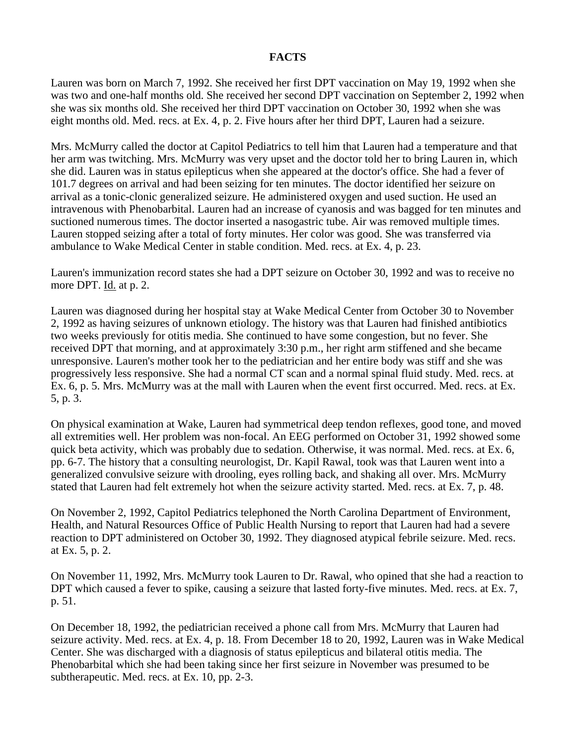#### **FACTS**

Lauren was born on March 7, 1992. She received her first DPT vaccination on May 19, 1992 when she was two and one-half months old. She received her second DPT vaccination on September 2, 1992 when she was six months old. She received her third DPT vaccination on October 30, 1992 when she was eight months old. Med. recs. at Ex. 4, p. 2. Five hours after her third DPT, Lauren had a seizure.

Mrs. McMurry called the doctor at Capitol Pediatrics to tell him that Lauren had a temperature and that her arm was twitching. Mrs. McMurry was very upset and the doctor told her to bring Lauren in, which she did. Lauren was in status epilepticus when she appeared at the doctor's office. She had a fever of 101.7 degrees on arrival and had been seizing for ten minutes. The doctor identified her seizure on arrival as a tonic-clonic generalized seizure. He administered oxygen and used suction. He used an intravenous with Phenobarbital. Lauren had an increase of cyanosis and was bagged for ten minutes and suctioned numerous times. The doctor inserted a nasogastric tube. Air was removed multiple times. Lauren stopped seizing after a total of forty minutes. Her color was good. She was transferred via ambulance to Wake Medical Center in stable condition. Med. recs. at Ex. 4, p. 23.

Lauren's immunization record states she had a DPT seizure on October 30, 1992 and was to receive no more DPT. Id. at p. 2.

Lauren was diagnosed during her hospital stay at Wake Medical Center from October 30 to November 2, 1992 as having seizures of unknown etiology. The history was that Lauren had finished antibiotics two weeks previously for otitis media. She continued to have some congestion, but no fever. She received DPT that morning, and at approximately 3:30 p.m., her right arm stiffened and she became unresponsive. Lauren's mother took her to the pediatrician and her entire body was stiff and she was progressively less responsive. She had a normal CT scan and a normal spinal fluid study. Med. recs. at Ex. 6, p. 5. Mrs. McMurry was at the mall with Lauren when the event first occurred. Med. recs. at Ex. 5, p. 3.

On physical examination at Wake, Lauren had symmetrical deep tendon reflexes, good tone, and moved all extremities well. Her problem was non-focal. An EEG performed on October 31, 1992 showed some quick beta activity, which was probably due to sedation. Otherwise, it was normal. Med. recs. at Ex. 6, pp. 6-7. The history that a consulting neurologist, Dr. Kapil Rawal, took was that Lauren went into a generalized convulsive seizure with drooling, eyes rolling back, and shaking all over. Mrs. McMurry stated that Lauren had felt extremely hot when the seizure activity started. Med. recs. at Ex. 7, p. 48.

On November 2, 1992, Capitol Pediatrics telephoned the North Carolina Department of Environment, Health, and Natural Resources Office of Public Health Nursing to report that Lauren had had a severe reaction to DPT administered on October 30, 1992. They diagnosed atypical febrile seizure. Med. recs. at Ex. 5, p. 2.

On November 11, 1992, Mrs. McMurry took Lauren to Dr. Rawal, who opined that she had a reaction to DPT which caused a fever to spike, causing a seizure that lasted forty-five minutes. Med. recs. at Ex. 7, p. 51.

On December 18, 1992, the pediatrician received a phone call from Mrs. McMurry that Lauren had seizure activity. Med. recs. at Ex. 4, p. 18. From December 18 to 20, 1992, Lauren was in Wake Medical Center. She was discharged with a diagnosis of status epilepticus and bilateral otitis media. The Phenobarbital which she had been taking since her first seizure in November was presumed to be subtherapeutic. Med. recs. at Ex. 10, pp. 2-3.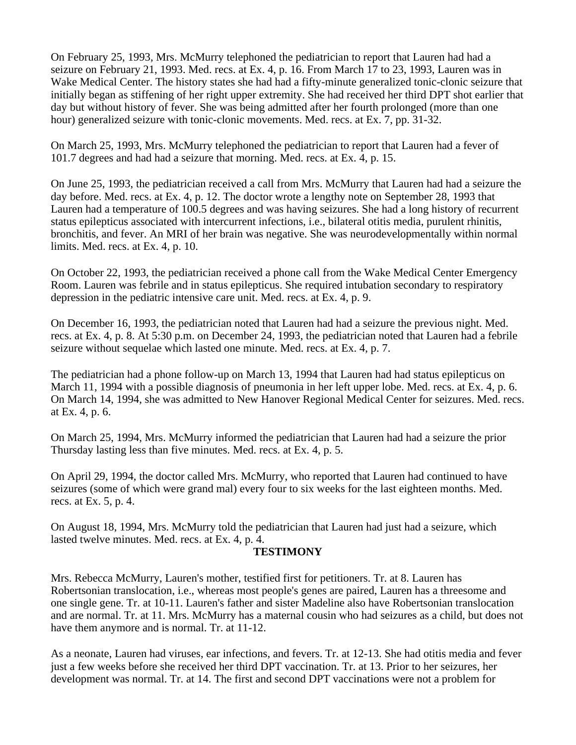On February 25, 1993, Mrs. McMurry telephoned the pediatrician to report that Lauren had had a seizure on February 21, 1993. Med. recs. at Ex. 4, p. 16. From March 17 to 23, 1993, Lauren was in Wake Medical Center. The history states she had had a fifty-minute generalized tonic-clonic seizure that initially began as stiffening of her right upper extremity. She had received her third DPT shot earlier that day but without history of fever. She was being admitted after her fourth prolonged (more than one hour) generalized seizure with tonic-clonic movements. Med. recs. at Ex. 7, pp. 31-32.

On March 25, 1993, Mrs. McMurry telephoned the pediatrician to report that Lauren had a fever of 101.7 degrees and had had a seizure that morning. Med. recs. at Ex. 4, p. 15.

On June 25, 1993, the pediatrician received a call from Mrs. McMurry that Lauren had had a seizure the day before. Med. recs. at Ex. 4, p. 12. The doctor wrote a lengthy note on September 28, 1993 that Lauren had a temperature of 100.5 degrees and was having seizures. She had a long history of recurrent status epilepticus associated with intercurrent infections, i.e., bilateral otitis media, purulent rhinitis, bronchitis, and fever. An MRI of her brain was negative. She was neurodevelopmentally within normal limits. Med. recs. at Ex. 4, p. 10.

On October 22, 1993, the pediatrician received a phone call from the Wake Medical Center Emergency Room. Lauren was febrile and in status epilepticus. She required intubation secondary to respiratory depression in the pediatric intensive care unit. Med. recs. at Ex. 4, p. 9.

On December 16, 1993, the pediatrician noted that Lauren had had a seizure the previous night. Med. recs. at Ex. 4, p. 8. At 5:30 p.m. on December 24, 1993, the pediatrician noted that Lauren had a febrile seizure without sequelae which lasted one minute. Med. recs. at Ex. 4, p. 7.

The pediatrician had a phone follow-up on March 13, 1994 that Lauren had had status epilepticus on March 11, 1994 with a possible diagnosis of pneumonia in her left upper lobe. Med. recs. at Ex. 4, p. 6. On March 14, 1994, she was admitted to New Hanover Regional Medical Center for seizures. Med. recs. at Ex. 4, p. 6.

On March 25, 1994, Mrs. McMurry informed the pediatrician that Lauren had had a seizure the prior Thursday lasting less than five minutes. Med. recs. at Ex. 4, p. 5.

On April 29, 1994, the doctor called Mrs. McMurry, who reported that Lauren had continued to have seizures (some of which were grand mal) every four to six weeks for the last eighteen months. Med. recs. at Ex. 5, p. 4.

On August 18, 1994, Mrs. McMurry told the pediatrician that Lauren had just had a seizure, which lasted twelve minutes. Med. recs. at Ex. 4, p. 4.

#### **TESTIMONY**

Mrs. Rebecca McMurry, Lauren's mother, testified first for petitioners. Tr. at 8. Lauren has Robertsonian translocation, i.e., whereas most people's genes are paired, Lauren has a threesome and one single gene. Tr. at 10-11. Lauren's father and sister Madeline also have Robertsonian translocation and are normal. Tr. at 11. Mrs. McMurry has a maternal cousin who had seizures as a child, but does not have them anymore and is normal. Tr. at 11-12.

As a neonate, Lauren had viruses, ear infections, and fevers. Tr. at 12-13. She had otitis media and fever just a few weeks before she received her third DPT vaccination. Tr. at 13. Prior to her seizures, her development was normal. Tr. at 14. The first and second DPT vaccinations were not a problem for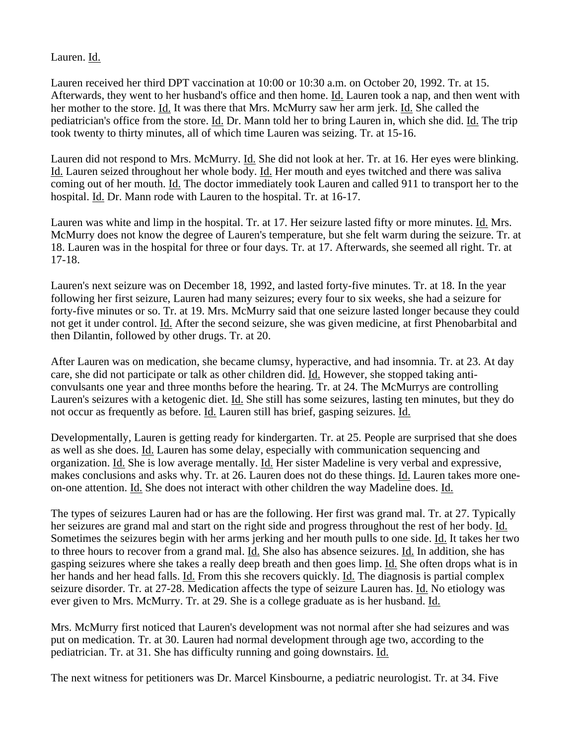Lauren. Id.

Lauren received her third DPT vaccination at 10:00 or 10:30 a.m. on October 20, 1992. Tr. at 15. Afterwards, they went to her husband's office and then home. Id. Lauren took a nap, and then went with her mother to the store. Id. It was there that Mrs. McMurry saw her arm jerk. Id. She called the pediatrician's office from the store. Id. Dr. Mann told her to bring Lauren in, which she did. Id. The trip took twenty to thirty minutes, all of which time Lauren was seizing. Tr. at 15-16.

Lauren did not respond to Mrs. McMurry. *Id.* She did not look at her. Tr. at 16. Her eyes were blinking. Id. Lauren seized throughout her whole body. Id. Her mouth and eyes twitched and there was saliva coming out of her mouth. Id. The doctor immediately took Lauren and called 911 to transport her to the hospital. Id. Dr. Mann rode with Lauren to the hospital. Tr. at 16-17.

Lauren was white and limp in the hospital. Tr. at 17. Her seizure lasted fifty or more minutes. Id. Mrs. McMurry does not know the degree of Lauren's temperature, but she felt warm during the seizure. Tr. at 18. Lauren was in the hospital for three or four days. Tr. at 17. Afterwards, she seemed all right. Tr. at 17-18.

Lauren's next seizure was on December 18, 1992, and lasted forty-five minutes. Tr. at 18. In the year following her first seizure, Lauren had many seizures; every four to six weeks, she had a seizure for forty-five minutes or so. Tr. at 19. Mrs. McMurry said that one seizure lasted longer because they could not get it under control. Id. After the second seizure, she was given medicine, at first Phenobarbital and then Dilantin, followed by other drugs. Tr. at 20.

After Lauren was on medication, she became clumsy, hyperactive, and had insomnia. Tr. at 23. At day care, she did not participate or talk as other children did. Id. However, she stopped taking anticonvulsants one year and three months before the hearing. Tr. at 24. The McMurrys are controlling Lauren's seizures with a ketogenic diet. Id. She still has some seizures, lasting ten minutes, but they do not occur as frequently as before. Id. Lauren still has brief, gasping seizures. Id.

Developmentally, Lauren is getting ready for kindergarten. Tr. at 25. People are surprised that she does as well as she does. Id. Lauren has some delay, especially with communication sequencing and organization. Id. She is low average mentally. Id. Her sister Madeline is very verbal and expressive, makes conclusions and asks why. Tr. at 26. Lauren does not do these things. Id. Lauren takes more oneon-one attention. Id. She does not interact with other children the way Madeline does. Id.

The types of seizures Lauren had or has are the following. Her first was grand mal. Tr. at 27. Typically her seizures are grand mal and start on the right side and progress throughout the rest of her body. Id. Sometimes the seizures begin with her arms jerking and her mouth pulls to one side. Id. It takes her two to three hours to recover from a grand mal. Id. She also has absence seizures. Id. In addition, she has gasping seizures where she takes a really deep breath and then goes limp. Id. She often drops what is in her hands and her head falls. Id. From this she recovers quickly. Id. The diagnosis is partial complex seizure disorder. Tr. at 27-28. Medication affects the type of seizure Lauren has. Id. No etiology was ever given to Mrs. McMurry. Tr. at 29. She is a college graduate as is her husband. Id.

Mrs. McMurry first noticed that Lauren's development was not normal after she had seizures and was put on medication. Tr. at 30. Lauren had normal development through age two, according to the pediatrician. Tr. at 31. She has difficulty running and going downstairs. Id.

The next witness for petitioners was Dr. Marcel Kinsbourne, a pediatric neurologist. Tr. at 34. Five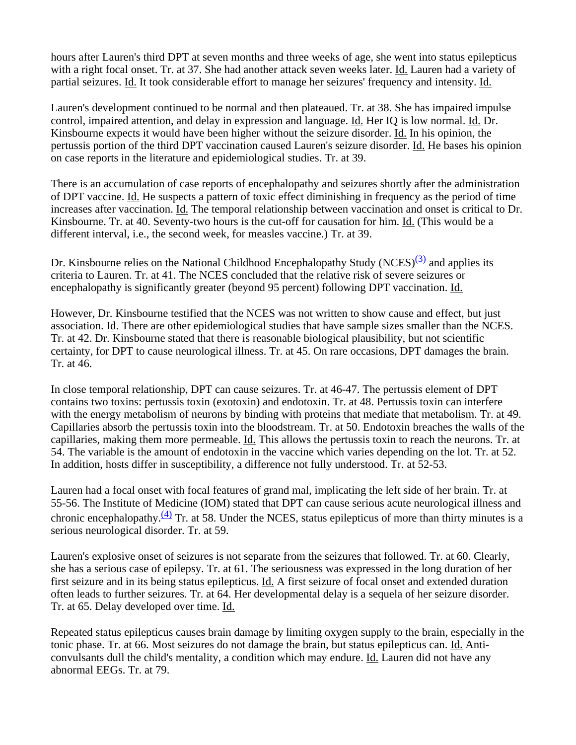hours after Lauren's third DPT at seven months and three weeks of age, she went into status epilepticus with a right focal onset. Tr. at 37. She had another attack seven weeks later. Id. Lauren had a variety of partial seizures. Id. It took considerable effort to manage her seizures' frequency and intensity. Id.

Lauren's development continued to be normal and then plateaued. Tr. at 38. She has impaired impulse control, impaired attention, and delay in expression and language. Id. Her IQ is low normal. Id. Dr. Kinsbourne expects it would have been higher without the seizure disorder. Id. In his opinion, the pertussis portion of the third DPT vaccination caused Lauren's seizure disorder. Id. He bases his opinion on case reports in the literature and epidemiological studies. Tr. at 39.

There is an accumulation of case reports of encephalopathy and seizures shortly after the administration of DPT vaccine. Id. He suspects a pattern of toxic effect diminishing in frequency as the period of time increases after vaccination. Id. The temporal relationship between vaccination and onset is critical to Dr. Kinsbourne. Tr. at 40. Seventy-two hours is the cut-off for causation for him. Id. (This would be a different interval, i.e., the second week, for measles vaccine.) Tr. at 39.

Dr. Kinsbourne relies on the National Childhood Encephalopathy Study (NCES)<sup>(3)</sup> and applies its criteria to Lauren. Tr. at 41. The NCES concluded that the relative risk of severe seizures or encephalopathy is significantly greater (beyond 95 percent) following DPT vaccination. Id.

However, Dr. Kinsbourne testified that the NCES was not written to show cause and effect, but just association. Id. There are other epidemiological studies that have sample sizes smaller than the NCES. Tr. at 42. Dr. Kinsbourne stated that there is reasonable biological plausibility, but not scientific certainty, for DPT to cause neurological illness. Tr. at 45. On rare occasions, DPT damages the brain. Tr. at 46.

In close temporal relationship, DPT can cause seizures. Tr. at 46-47. The pertussis element of DPT contains two toxins: pertussis toxin (exotoxin) and endotoxin. Tr. at 48. Pertussis toxin can interfere with the energy metabolism of neurons by binding with proteins that mediate that metabolism. Tr. at 49. Capillaries absorb the pertussis toxin into the bloodstream. Tr. at 50. Endotoxin breaches the walls of the capillaries, making them more permeable. Id. This allows the pertussis toxin to reach the neurons. Tr. at 54. The variable is the amount of endotoxin in the vaccine which varies depending on the lot. Tr. at 52. In addition, hosts differ in susceptibility, a difference not fully understood. Tr. at 52-53.

Lauren had a focal onset with focal features of grand mal, implicating the left side of her brain. Tr. at 55-56. The Institute of Medicine (IOM) stated that DPT can cause serious acute neurological illness and chronic encephalopathy. $(4)$  Tr. at 58. Under the NCES, status epilepticus of more than thirty minutes is a serious neurological disorder. Tr. at 59.

Lauren's explosive onset of seizures is not separate from the seizures that followed. Tr. at 60. Clearly, she has a serious case of epilepsy. Tr. at 61. The seriousness was expressed in the long duration of her first seizure and in its being status epilepticus. Id. A first seizure of focal onset and extended duration often leads to further seizures. Tr. at 64. Her developmental delay is a sequela of her seizure disorder. Tr. at 65. Delay developed over time. Id.

Repeated status epilepticus causes brain damage by limiting oxygen supply to the brain, especially in the tonic phase. Tr. at 66. Most seizures do not damage the brain, but status epilepticus can. Id. Anticonvulsants dull the child's mentality, a condition which may endure. Id. Lauren did not have any abnormal EEGs. Tr. at 79.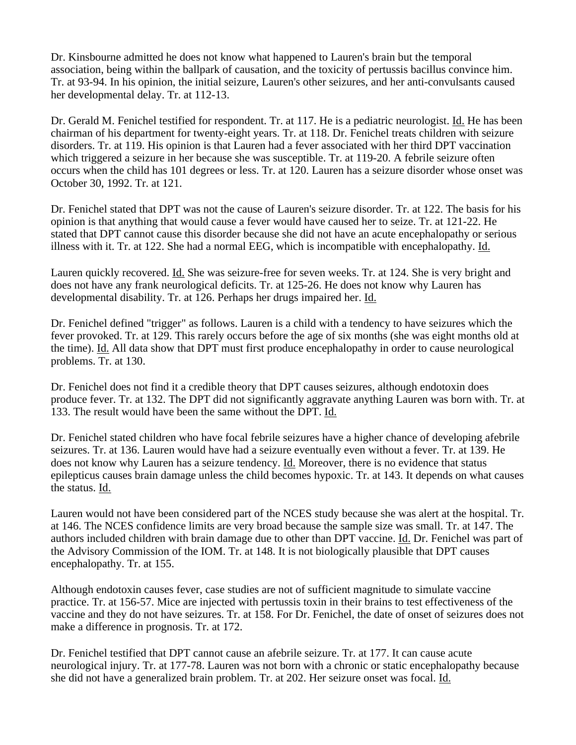Dr. Kinsbourne admitted he does not know what happened to Lauren's brain but the temporal association, being within the ballpark of causation, and the toxicity of pertussis bacillus convince him. Tr. at 93-94. In his opinion, the initial seizure, Lauren's other seizures, and her anti-convulsants caused her developmental delay. Tr. at 112-13.

Dr. Gerald M. Fenichel testified for respondent. Tr. at 117. He is a pediatric neurologist. Id. He has been chairman of his department for twenty-eight years. Tr. at 118. Dr. Fenichel treats children with seizure disorders. Tr. at 119. His opinion is that Lauren had a fever associated with her third DPT vaccination which triggered a seizure in her because she was susceptible. Tr. at 119-20. A febrile seizure often occurs when the child has 101 degrees or less. Tr. at 120. Lauren has a seizure disorder whose onset was October 30, 1992. Tr. at 121.

Dr. Fenichel stated that DPT was not the cause of Lauren's seizure disorder. Tr. at 122. The basis for his opinion is that anything that would cause a fever would have caused her to seize. Tr. at 121-22. He stated that DPT cannot cause this disorder because she did not have an acute encephalopathy or serious illness with it. Tr. at 122. She had a normal EEG, which is incompatible with encephalopathy. Id.

Lauren quickly recovered. Id. She was seizure-free for seven weeks. Tr. at 124. She is very bright and does not have any frank neurological deficits. Tr. at 125-26. He does not know why Lauren has developmental disability. Tr. at 126. Perhaps her drugs impaired her. Id.

Dr. Fenichel defined "trigger" as follows. Lauren is a child with a tendency to have seizures which the fever provoked. Tr. at 129. This rarely occurs before the age of six months (she was eight months old at the time). Id. All data show that DPT must first produce encephalopathy in order to cause neurological problems. Tr. at 130.

Dr. Fenichel does not find it a credible theory that DPT causes seizures, although endotoxin does produce fever. Tr. at 132. The DPT did not significantly aggravate anything Lauren was born with. Tr. at 133. The result would have been the same without the DPT. Id.

Dr. Fenichel stated children who have focal febrile seizures have a higher chance of developing afebrile seizures. Tr. at 136. Lauren would have had a seizure eventually even without a fever. Tr. at 139. He does not know why Lauren has a seizure tendency. Id. Moreover, there is no evidence that status epilepticus causes brain damage unless the child becomes hypoxic. Tr. at 143. It depends on what causes the status. Id.

Lauren would not have been considered part of the NCES study because she was alert at the hospital. Tr. at 146. The NCES confidence limits are very broad because the sample size was small. Tr. at 147. The authors included children with brain damage due to other than DPT vaccine. Id. Dr. Fenichel was part of the Advisory Commission of the IOM. Tr. at 148. It is not biologically plausible that DPT causes encephalopathy. Tr. at 155.

Although endotoxin causes fever, case studies are not of sufficient magnitude to simulate vaccine practice. Tr. at 156-57. Mice are injected with pertussis toxin in their brains to test effectiveness of the vaccine and they do not have seizures. Tr. at 158. For Dr. Fenichel, the date of onset of seizures does not make a difference in prognosis. Tr. at 172.

Dr. Fenichel testified that DPT cannot cause an afebrile seizure. Tr. at 177. It can cause acute neurological injury. Tr. at 177-78. Lauren was not born with a chronic or static encephalopathy because she did not have a generalized brain problem. Tr. at 202. Her seizure onset was focal. Id.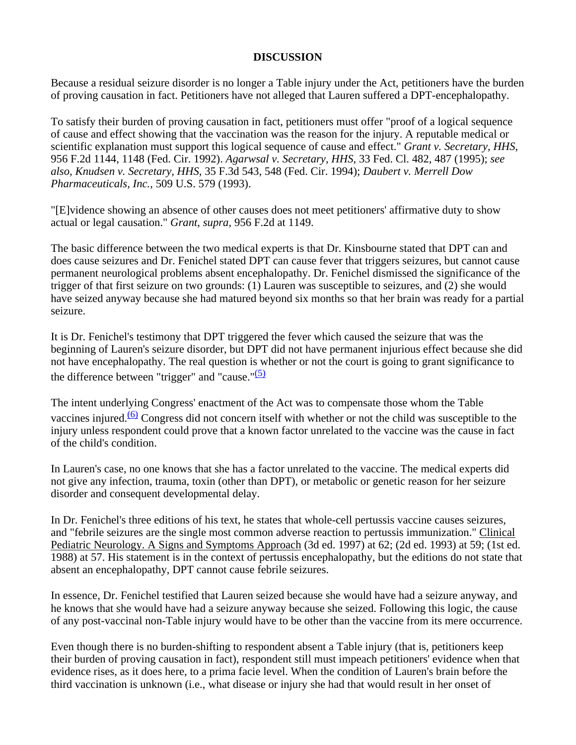## **DISCUSSION**

Because a residual seizure disorder is no longer a Table injury under the Act, petitioners have the burden of proving causation in fact. Petitioners have not alleged that Lauren suffered a DPT-encephalopathy.

To satisfy their burden of proving causation in fact, petitioners must offer "proof of a logical sequence of cause and effect showing that the vaccination was the reason for the injury. A reputable medical or scientific explanation must support this logical sequence of cause and effect." *Grant v. Secretary, HHS*, 956 F.2d 1144, 1148 (Fed. Cir. 1992). *Agarwsal v. Secretary, HHS*, 33 Fed. Cl. 482, 487 (1995); *see also, Knudsen v. Secretary, HHS*, 35 F.3d 543, 548 (Fed. Cir. 1994); *Daubert v. Merrell Dow Pharmaceuticals, Inc.*, 509 U.S. 579 (1993).

"[E]vidence showing an absence of other causes does not meet petitioners' affirmative duty to show actual or legal causation." *Grant*, *supra*, 956 F.2d at 1149.

The basic difference between the two medical experts is that Dr. Kinsbourne stated that DPT can and does cause seizures and Dr. Fenichel stated DPT can cause fever that triggers seizures, but cannot cause permanent neurological problems absent encephalopathy. Dr. Fenichel dismissed the significance of the trigger of that first seizure on two grounds: (1) Lauren was susceptible to seizures, and (2) she would have seized anyway because she had matured beyond six months so that her brain was ready for a partial seizure.

It is Dr. Fenichel's testimony that DPT triggered the fever which caused the seizure that was the beginning of Lauren's seizure disorder, but DPT did not have permanent injurious effect because she did not have encephalopathy. The real question is whether or not the court is going to grant significance to the difference between "trigger" and "cause." $(5)$ 

The intent underlying Congress' enactment of the Act was to compensate those whom the Table vaccines injured. $(6)$  Congress did not concern itself with whether or not the child was susceptible to the injury unless respondent could prove that a known factor unrelated to the vaccine was the cause in fact of the child's condition.

In Lauren's case, no one knows that she has a factor unrelated to the vaccine. The medical experts did not give any infection, trauma, toxin (other than DPT), or metabolic or genetic reason for her seizure disorder and consequent developmental delay.

In Dr. Fenichel's three editions of his text, he states that whole-cell pertussis vaccine causes seizures, and "febrile seizures are the single most common adverse reaction to pertussis immunization." Clinical Pediatric Neurology. A Signs and Symptoms Approach (3d ed. 1997) at 62; (2d ed. 1993) at 59; (1st ed. 1988) at 57. His statement is in the context of pertussis encephalopathy, but the editions do not state that absent an encephalopathy, DPT cannot cause febrile seizures.

In essence, Dr. Fenichel testified that Lauren seized because she would have had a seizure anyway, and he knows that she would have had a seizure anyway because she seized. Following this logic, the cause of any post-vaccinal non-Table injury would have to be other than the vaccine from its mere occurrence.

Even though there is no burden-shifting to respondent absent a Table injury (that is, petitioners keep their burden of proving causation in fact), respondent still must impeach petitioners' evidence when that evidence rises, as it does here, to a prima facie level. When the condition of Lauren's brain before the third vaccination is unknown (i.e., what disease or injury she had that would result in her onset of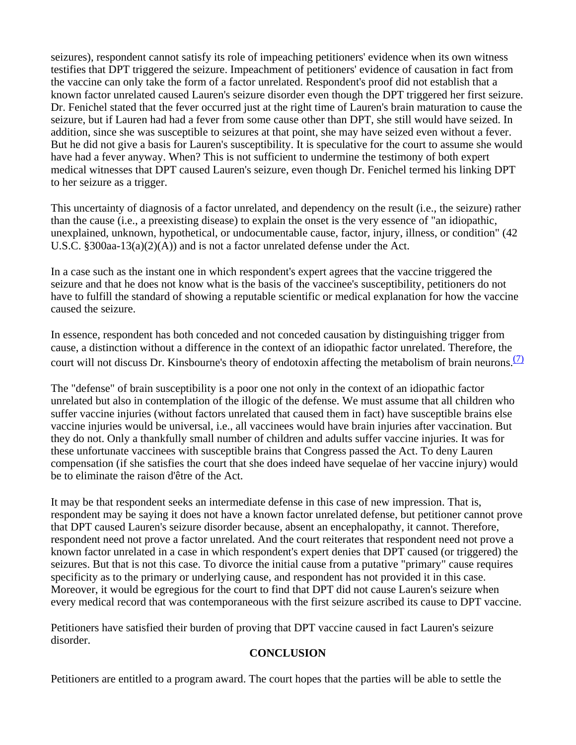seizures), respondent cannot satisfy its role of impeaching petitioners' evidence when its own witness testifies that DPT triggered the seizure. Impeachment of petitioners' evidence of causation in fact from the vaccine can only take the form of a factor unrelated. Respondent's proof did not establish that a known factor unrelated caused Lauren's seizure disorder even though the DPT triggered her first seizure. Dr. Fenichel stated that the fever occurred just at the right time of Lauren's brain maturation to cause the seizure, but if Lauren had had a fever from some cause other than DPT, she still would have seized. In addition, since she was susceptible to seizures at that point, she may have seized even without a fever. But he did not give a basis for Lauren's susceptibility. It is speculative for the court to assume she would have had a fever anyway. When? This is not sufficient to undermine the testimony of both expert medical witnesses that DPT caused Lauren's seizure, even though Dr. Fenichel termed his linking DPT to her seizure as a trigger.

This uncertainty of diagnosis of a factor unrelated, and dependency on the result (i.e., the seizure) rather than the cause (i.e., a preexisting disease) to explain the onset is the very essence of "an idiopathic, unexplained, unknown, hypothetical, or undocumentable cause, factor, injury, illness, or condition" (42 U.S.C. §300aa-13(a)(2)(A)) and is not a factor unrelated defense under the Act.

In a case such as the instant one in which respondent's expert agrees that the vaccine triggered the seizure and that he does not know what is the basis of the vaccinee's susceptibility, petitioners do not have to fulfill the standard of showing a reputable scientific or medical explanation for how the vaccine caused the seizure.

In essence, respondent has both conceded and not conceded causation by distinguishing trigger from cause, a distinction without a difference in the context of an idiopathic factor unrelated. Therefore, the court will not discuss Dr. Kinsbourne's theory of endotoxin affecting the metabolism of brain neurons.  $\frac{1}{2}$ 

The "defense" of brain susceptibility is a poor one not only in the context of an idiopathic factor unrelated but also in contemplation of the illogic of the defense. We must assume that all children who suffer vaccine injuries (without factors unrelated that caused them in fact) have susceptible brains else vaccine injuries would be universal, i.e., all vaccinees would have brain injuries after vaccination. But they do not. Only a thankfully small number of children and adults suffer vaccine injuries. It was for these unfortunate vaccinees with susceptible brains that Congress passed the Act. To deny Lauren compensation (if she satisfies the court that she does indeed have sequelae of her vaccine injury) would be to eliminate the raison d'être of the Act.

It may be that respondent seeks an intermediate defense in this case of new impression. That is, respondent may be saying it does not have a known factor unrelated defense, but petitioner cannot prove that DPT caused Lauren's seizure disorder because, absent an encephalopathy, it cannot. Therefore, respondent need not prove a factor unrelated. And the court reiterates that respondent need not prove a known factor unrelated in a case in which respondent's expert denies that DPT caused (or triggered) the seizures. But that is not this case. To divorce the initial cause from a putative "primary" cause requires specificity as to the primary or underlying cause, and respondent has not provided it in this case. Moreover, it would be egregious for the court to find that DPT did not cause Lauren's seizure when every medical record that was contemporaneous with the first seizure ascribed its cause to DPT vaccine.

Petitioners have satisfied their burden of proving that DPT vaccine caused in fact Lauren's seizure disorder.

## **CONCLUSION**

Petitioners are entitled to a program award. The court hopes that the parties will be able to settle the